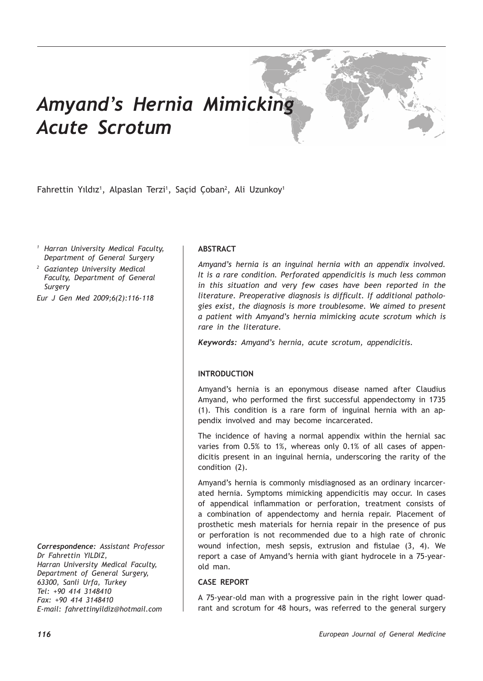# *Amyand's Hernia Mimicking Acute Scrotum*

Fahrettin Yıldız<sup>ı</sup>, Alpaslan Terzi<sup>ı</sup>, Saçid Çoban<sup>2</sup>, Ali Uzunkoy<sup>ı</sup>

*<sup>1</sup> Harran University Medical Faculty, Department of General Surgery*

*<sup>2</sup> Gaziantep University Medical Faculty, Department of General Surgery*

*Eur J Gen Med 2009;6(2):116-118*

*Correspondence: Assistant Professor Dr Fahrettin YILDIZ, Harran University Medical Faculty, Department of General Surgery, 63300, Sanli Urfa, Turkey Tel: +90 414 3148410 Fax: +90 414 3148410 E-mail: fahrettinyildiz@hotmail.com*

# **ABSTRACT**

*Amyand's hernia is an inguinal hernia with an appendix involved. It is a rare condition. Perforated appendicitis is much less common in this situation and very few cases have been reported in the literature. Preoperative diagnosis is difficult. If additional pathologies exist, the diagnosis is more troublesome. We aimed to present a patient with Amyand's hernia mimicking acute scrotum which is rare in the literature.*

*Keywords: Amyand's hernia, acute scrotum, appendicitis.*

# **INTRODUCTION**

Amyand's hernia is an eponymous disease named after Claudius Amyand, who performed the first successful appendectomy in 1735 (1). This condition is a rare form of inguinal hernia with an appendix involved and may become incarcerated.

The incidence of having a normal appendix within the hernial sac varies from 0.5% to 1%, whereas only 0.1% of all cases of appendicitis present in an inguinal hernia, underscoring the rarity of the condition (2).

Amyand's hernia is commonly misdiagnosed as an ordinary incarcerated hernia. Symptoms mimicking appendicitis may occur. In cases of appendical inflammation or perforation, treatment consists of a combination of appendectomy and hernia repair. Placement of prosthetic mesh materials for hernia repair in the presence of pus or perforation is not recommended due to a high rate of chronic wound infection, mesh sepsis, extrusion and fistulae (3, 4). We report a case of Amyand's hernia with giant hydrocele in a 75-yearold man.

### **CASE REPORT**

A 75-year-old man with a progressive pain in the right lower quadrant and scrotum for 48 hours, was referred to the general surgery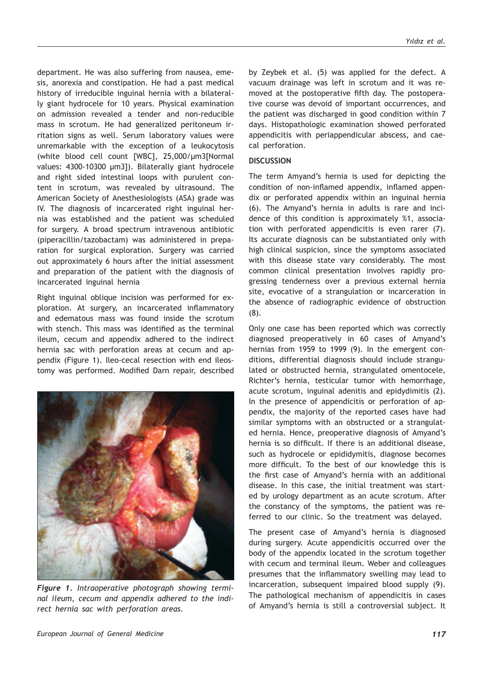department. He was also suffering from nausea, emesis, anorexia and constipation. He had a past medical history of irreducible inguinal hernia with a bilaterally giant hydrocele for 10 years. Physical examination on admission revealed a tender and non-reducible mass in scrotum. He had generalized peritoneum irritation signs as well. Serum laboratory values were unremarkable with the exception of a leukocytosis (white blood cell count [WBC], 25,000/µm3[Normal values: 4300-10300 µm3]). Bilaterally giant hydrocele and right sided intestinal loops with purulent content in scrotum, was revealed by ultrasound. The American Society of Anesthesiologists (ASA) grade was IV. The diagnosis of incarcerated right inguinal hernia was established and the patient was scheduled for surgery. A broad spectrum intravenous antibiotic (piperacillin/tazobactam) was administered in preparation for surgical exploration. Surgery was carried out approximately 6 hours after the initial assessment and preparation of the patient with the diagnosis of incarcerated inguinal hernia

Right inguinal oblique incision was performed for exploration. At surgery, an incarcerated inflammatory and edematous mass was found inside the scrotum with stench. This mass was identified as the terminal ileum, cecum and appendix adhered to the indirect hernia sac with perforation areas at cecum and appendix (Figure 1). Ileo-cecal resection with end ileostomy was performed. Modified Darn repair, described



*Figure 1. Intraoperative photograph showing terminal ileum, cecum and appendix adhered to the indirect hernia sac with perforation areas.* 

by Zeybek et al. (5) was applied for the defect. A vacuum drainage was left in scrotum and it was removed at the postoperative fifth day. The postoperative course was devoid of important occurrences, and the patient was discharged in good condition within 7 days. Histopathologic examination showed perforated appendicitis with periappendicular abscess, and caecal perforation.

#### **DISCUSSION**

The term Amyand's hernia is used for depicting the condition of non-inflamed appendix, inflamed appendix or perforated appendix within an inguinal hernia (6). The Amyand's hernia in adults is rare and incidence of this condition is approximately %1, association with perforated appendicitis is even rarer (7). Its accurate diagnosis can be substantiated only with high clinical suspicion, since the symptoms associated with this disease state vary considerably. The most common clinical presentation involves rapidly progressing tenderness over a previous external hernia site, evocative of a strangulation or incarceration in the absence of radiographic evidence of obstruction (8).

Only one case has been reported which was correctly diagnosed preoperatively in 60 cases of Amyand's hernias from 1959 to 1999 (9). In the emergent conditions, differential diagnosis should include strangulated or obstructed hernia, strangulated omentocele, Richter's hernia, testicular tumor with hemorrhage, acute scrotum, inguinal adenitis and epidydimitis (2). In the presence of appendicitis or perforation of appendix, the majority of the reported cases have had similar symptoms with an obstructed or a strangulated hernia. Hence, preoperative diagnosis of Amyand's hernia is so difficult. If there is an additional disease, such as hydrocele or epididymitis, diagnose becomes more difficult. To the best of our knowledge this is the first case of Amyand's hernia with an additional disease. In this case, the initial treatment was started by urology department as an acute scrotum. After the constancy of the symptoms, the patient was referred to our clinic. So the treatment was delayed.

The present case of Amyand's hernia is diagnosed during surgery. Acute appendicitis occurred over the body of the appendix located in the scrotum together with cecum and terminal ileum. Weber and colleagues presumes that the inflammatory swelling may lead to incarceration, subsequent impaired blood supply (9). The pathological mechanism of appendicitis in cases of Amyand's hernia is still a controversial subject. It